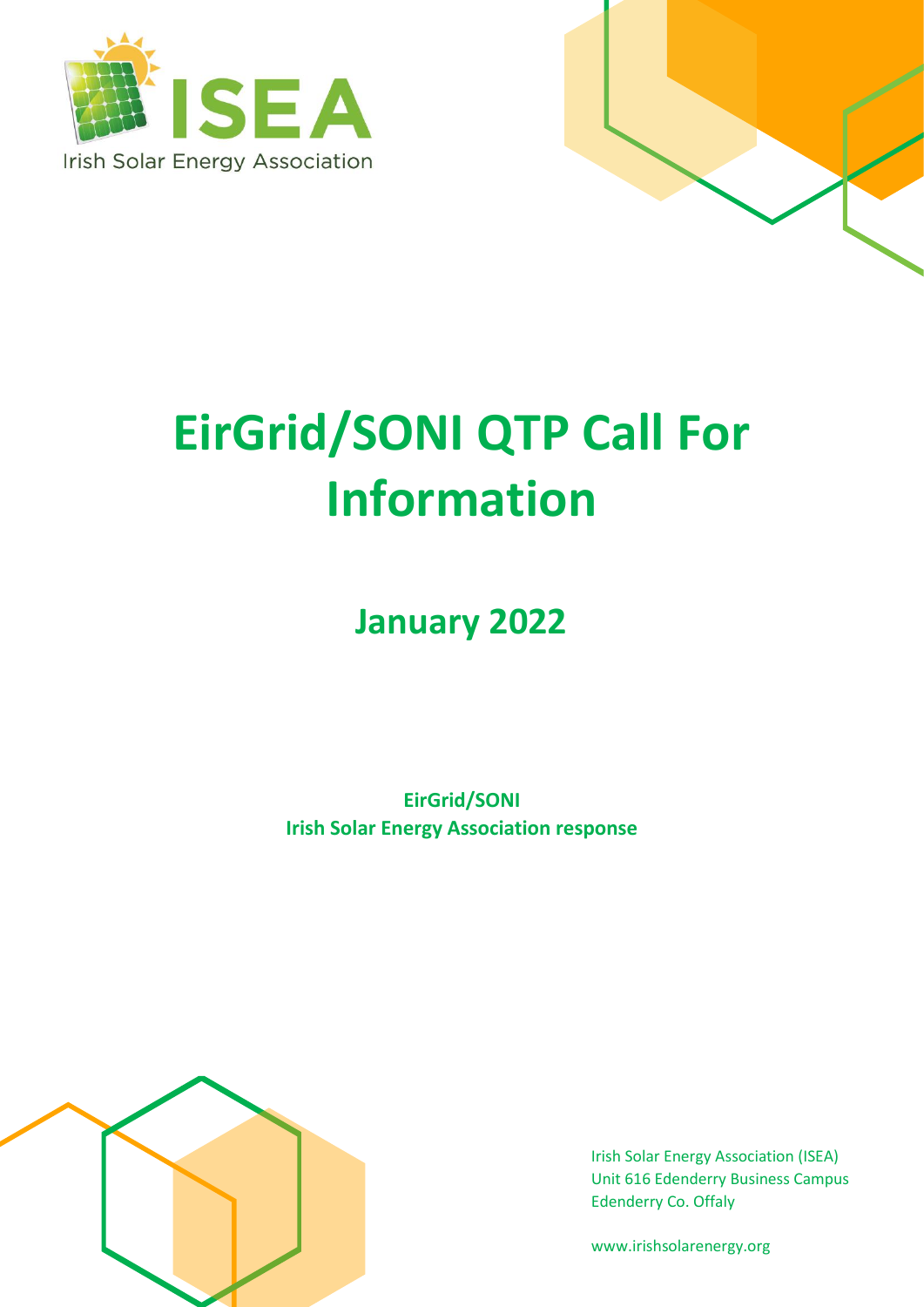



# **EirGrid/SONI QTP Call For Information**

**January 2022**

**EirGrid/SONI Irish Solar Energy Association response**



Irish Solar Energy Association (ISEA) Unit 616 Edenderry Business Campus Edenderry Co. Offaly

www.irishsolarenergy.org